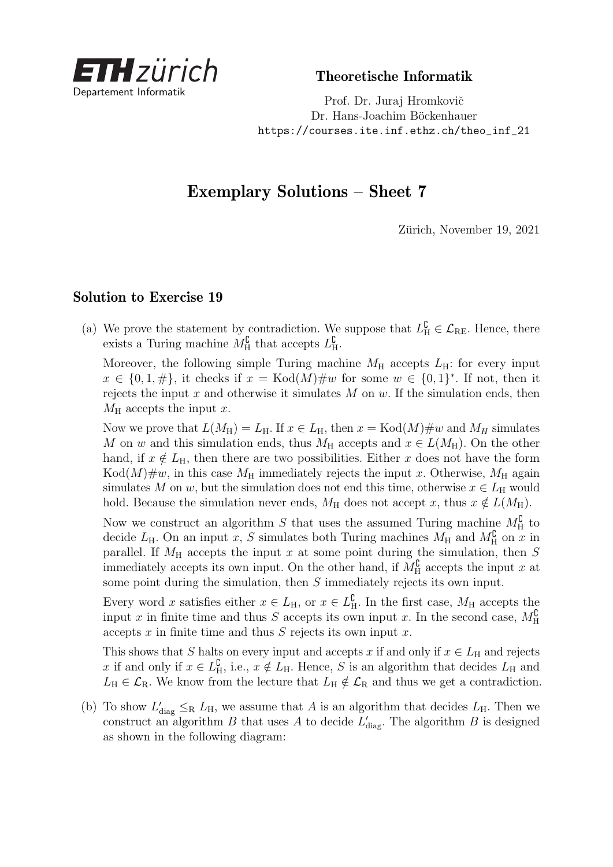

Theoretische Informatik

Prof. Dr. Juraj Hromkovič Dr. Hans-Joachim Böckenhauer [https://courses.ite.inf.ethz.ch/theo\\_inf\\_21](https://courses.ite.inf.ethz.ch/theo_inf_21)

## Exemplary Solutions – Sheet 7

Zürich, November 19, 2021

## Solution to Exercise 19

(a) We prove the statement by contradiction. We suppose that  $L_{\rm H}^{\rm C} \in \mathcal{L}_{\rm RE}$ . Hence, there exists a Turing machine  $M_{\rm H}^{\rm C}$  that accepts  $L_{\rm H}^{\rm C}$ .

Moreover, the following simple Turing machine  $M_H$  accepts  $L_H$ : for every input  $x \in \{0, 1, \#\},$  it checks if  $x = \text{Kod}(M) \# w$  for some  $w \in \{0, 1\}^*$ . If not, then it rejects the input *x* and otherwise it simulates *M* on *w*. If the simulation ends, then  $M_{\rm H}$  accepts the input *x*.

Now we prove that  $L(M_H) = L_H$ . If  $x \in L_H$ , then  $x = \text{Kod}(M) \# w$  and  $M_H$  simulates *M* on *w* and this simulation ends, thus  $M_H$  accepts and  $x \in L(M_H)$ . On the other hand, if  $x \notin L_H$ , then there are two possibilities. Either *x* does not have the form  $Kod(M)\#w$ , in this case  $M_H$  immediately rejects the input *x*. Otherwise,  $M_H$  again simulates M on *w*, but the simulation does not end this time, otherwise  $x \in L_H$  would hold. Because the simulation never ends,  $M_H$  does not accept *x*, thus  $x \notin L(M_H)$ .

Now we construct an algorithm *S* that uses the assumed Turing machine  $M_{\rm H}^{\rm C}$  to decide  $L_H$ . On an input *x*, *S* simulates both Turing machines  $M_H$  and  $M_H^{\complement}$  on *x* in parallel. If  $M_H$  accepts the input  $x$  at some point during the simulation, then  $S$ immediately accepts its own input. On the other hand, if  $M_{\rm H}^{\rm C}$  accepts the input *x* at some point during the simulation, then *S* immediately rejects its own input.

Every word *x* satisfies either  $x \in L_H$ , or  $x \in L_H^{\mathbb{C}}$ . In the first case,  $M_H$  accepts the input *x* in finite time and thus *S* accepts its own input *x*. In the second case,  $M_{\rm H}^{\rm C}$ accepts *x* in finite time and thus *S* rejects its own input *x*.

This shows that *S* halts on every input and accepts *x* if and only if  $x \in L_H$  and rejects *x* if and only if  $x \in L^{\mathbb{C}}_{\mathbb{H}}$ , i.e.,  $x \notin L_{\mathbb{H}}$ . Hence, *S* is an algorithm that decides  $L_{\mathbb{H}}$  and  $L_{\rm H} \in \mathcal{L}_{\rm R}$ . We know from the lecture that  $L_{\rm H} \notin \mathcal{L}_{\rm R}$  and thus we get a contradiction.

(b) To show  $L'_{\text{diag}} \leq_R L_H$ , we assume that *A* is an algorithm that decides  $L_H$ . Then we construct an algorithm *B* that uses *A* to decide  $L'_{\text{diag}}$ . The algorithm *B* is designed as shown in the following diagram: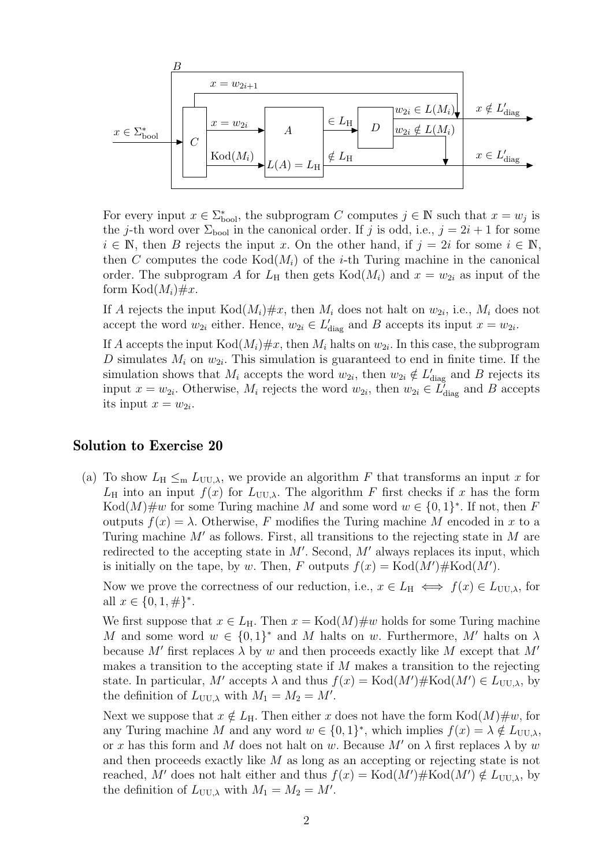$$
\begin{array}{c|c}\n B & x = w_{2i+1} \\
\hline\n x & \downarrow \\
x \in \Sigma_{\text{bool}}^* \\
C & \downarrow \\
\hline\n C & \downarrow \\
C & \downarrow \\
\hline\n\end{array}
$$
\n
$$
\begin{array}{c|c}\n B & x = w_{2i+1} \\
\hline\n A & \downarrow \\
A & \downarrow \\
L(A) = L_{\text{H}} & \downarrow \\
\hline\n \end{array}
$$
\n
$$
\begin{array}{c|c}\n w_{2i} \in L(M_i) & x \notin L'_{\text{diag}} \\
\hline\n D & w_{2i} \notin L(M_i) & x \in L'_{\text{diag}} \\
\hline\n x \in L'_{\text{diag}} & x \in L'_{\text{diag}} \\
\hline\n \end{array}
$$

For every input  $x \in \sum_{\text{bool}}^*$ , the subprogram *C* computes  $j \in \mathbb{N}$  such that  $x = w_j$  is the *j*-th word over  $\Sigma_{\text{bool}}$  in the canonical order. If *j* is odd, i.e.,  $j = 2i + 1$  for some  $i \in \mathbb{N}$ , then *B* rejects the input *x*. On the other hand, if  $j = 2i$  for some  $i \in \mathbb{N}$ , then *C* computes the code  $Kod(M_i)$  of the *i*-th Turing machine in the canonical order. The subprogram A for  $L_H$  then gets  $Kod(M_i)$  and  $x = w_{2i}$  as input of the form  $Kod(M_i) \# x$ .

If *A* rejects the input  $Kod(M_i) \# x$ , then  $M_i$  does not halt on  $w_{2i}$ , i.e.,  $M_i$  does not accept the word  $w_{2i}$  either. Hence,  $w_{2i} \in L'_{\text{diag}}$  and *B* accepts its input  $x = w_{2i}$ .

If *A* accepts the input  $Kod(M_i) \# x$ , then  $M_i$  halts on  $w_{2i}$ . In this case, the subprogram D simulates  $M_i$  on  $w_{2i}$ . This simulation is guaranteed to end in finite time. If the simulation shows that  $M_i$  accepts the word  $w_{2i}$ , then  $w_{2i} \notin L'_{diag}$  and *B* rejects its input  $x = w_{2i}$ . Otherwise,  $M_i$  rejects the word  $w_{2i}$ , then  $w_{2i} \in L'_{diag}$  and *B* accepts its input  $x = w_{2i}$ .

## Solution to Exercise 20

(a) To show  $L_H \leq_m L_{UU,\lambda}$ , we provide an algorithm *F* that transforms an input *x* for  $L_H$  into an input  $f(x)$  for  $L_{UU,\lambda}$ . The algorithm *F* first checks if *x* has the form  $Kod(M)\#w$  for some Turing machine M and some word  $w \in \{0,1\}^*$ . If not, then F outputs  $f(x) = \lambda$ . Otherwise, F modifies the Turing machine M encoded in x to a Turing machine *M*<sup>0</sup> as follows. First, all transitions to the rejecting state in *M* are redirected to the accepting state in  $M'$ . Second,  $M'$  always replaces its input, which is initially on the tape, by *w*. Then, *F* outputs  $f(x) = \text{Kod}(M') \# \text{Kod}(M')$ .

Now we prove the correctness of our reduction, i.e.,  $x \in L_H \iff f(x) \in L_{UU,\lambda}$ , for all  $x \in \{0, 1, \#\}^*$ .

We first suppose that  $x \in L_H$ . Then  $x = \text{Kod}(M) \# w$  holds for some Turing machine *M* and some word  $w \in \{0,1\}^*$  and *M* halts on *w*. Furthermore, *M'* halts on  $\lambda$ because *M'* first replaces  $\lambda$  by *w* and then proceeds exactly like *M* except that *M'* makes a transition to the accepting state if *M* makes a transition to the rejecting state. In particular,  $M'$  accepts  $\lambda$  and thus  $f(x) = \text{Kod}(M') \# \text{Kod}(M') \in L_{UU,\lambda}$ , by the definition of  $L_{UU,\lambda}$  with  $M_1 = M_2 = M'$ .

Next we suppose that  $x \notin L_H$ . Then either *x* does not have the form  $Kod(M)\#w$ , for any Turing machine *M* and any word  $w \in \{0,1\}^*$ , which implies  $f(x) = \lambda \notin L_{UU,\lambda}$ , or *x* has this form and *M* does not halt on *w*. Because  $M'$  on  $\lambda$  first replaces  $\lambda$  by *w* and then proceeds exactly like *M* as long as an accepting or rejecting state is not reached, M' does not halt either and thus  $f(x) = \text{Kod}(M') \# \text{Kod}(M') \notin L_{UU,\lambda}$ , by the definition of  $L_{UU,\lambda}$  with  $M_1 = M_2 = M'$ .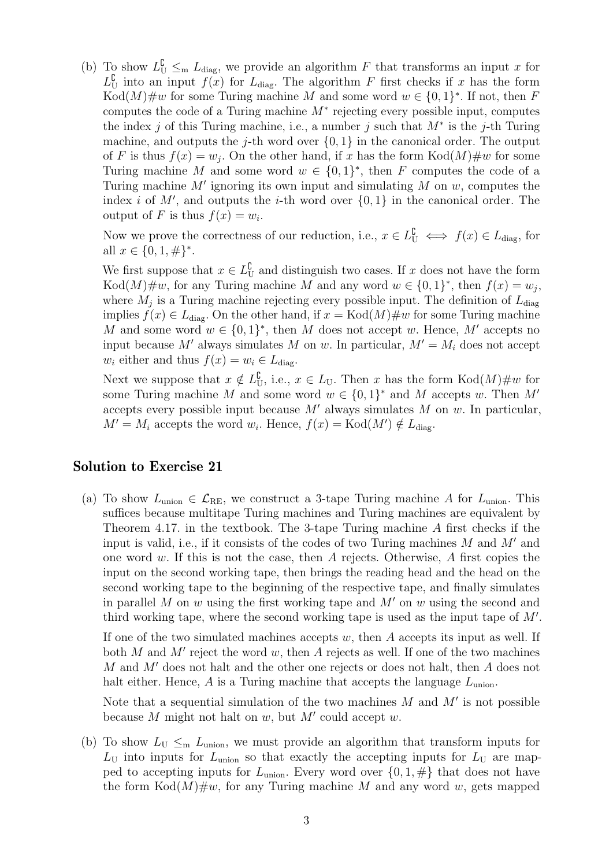(b) To show  $L^{\mathbb{C}}_{\mathbf{U}} \leq_{\mathbf{m}} L_{\text{diag}}$ , we provide an algorithm *F* that transforms an input *x* for  $L_U^{\mathcal{C}}$  into an input  $f(x)$  for  $L_{\text{diag}}$ . The algorithm *F* first checks if *x* has the form  $Kod(M)\#w$  for some Turing machine M and some word  $w \in \{0,1\}^*$ . If not, then F computes the code of a Turing machine  $M^*$  rejecting every possible input, computes the index *j* of this Turing machine, i.e., a number *j* such that *M*<sup>∗</sup> is the *j*-th Turing machine, and outputs the *j*-th word over  $\{0, 1\}$  in the canonical order. The output of *F* is thus  $f(x) = w_j$ . On the other hand, if *x* has the form  $Kod(M)\#w$  for some Turing machine *M* and some word  $w \in \{0,1\}^*$ , then *F* computes the code of a Turing machine  $M'$  ignoring its own input and simulating  $M$  on  $w$ , computes the index *i* of  $M'$ , and outputs the *i*-th word over  $\{0, 1\}$  in the canonical order. The output of *F* is thus  $f(x) = w_i$ .

Now we prove the correctness of our reduction, i.e.,  $x \in L^{\mathbb{C}}_{\mathcal{U}} \iff f(x) \in L_{\text{diag}}$ , for all  $x \in \{0, 1, \#\}^*$ .

We first suppose that  $x \in L^{\mathbb{C}}_{U}$  and distinguish two cases. If *x* does not have the form Kod $(M)$ #w, for any Turing machine *M* and any word  $w \in \{0,1\}^*$ , then  $f(x) = w_j$ , where  $M_j$  is a Turing machine rejecting every possible input. The definition of  $L_{\text{diag}}$ implies  $f(x) \in L_{\text{diag}}$ . On the other hand, if  $x = \text{Kod}(M) \# w$  for some Turing machine *M* and some word  $w \in \{0,1\}^*$ , then *M* does not accept *w*. Hence, *M'* accepts no input because M' always simulates M on w. In particular,  $M' = M_i$  does not accept *w*<sub>*i*</sub> either and thus  $f(x) = w_i \in L_{\text{diag}}$ .

Next we suppose that  $x \notin L^{\mathbb{C}}_{\mathbf{U}}$ , i.e.,  $x \in L_{\mathbf{U}}$ . Then *x* has the form  $Kod(M)\#w$  for some Turing machine *M* and some word  $w \in \{0,1\}^*$  and *M* accepts *w*. Then *M*<sup>*n*</sup> accepts every possible input because  $M'$  always simulates  $M$  on  $w$ . In particular,  $M' = M_i$  accepts the word  $w_i$ . Hence,  $f(x) = \text{Kod}(M') \notin L_{\text{diag}}$ .

## Solution to Exercise 21

(a) To show  $L_{\text{union}} \in \mathcal{L}_{\text{RE}}$ , we construct a 3-tape Turing machine A for  $L_{\text{union}}$ . This suffices because multitape Turing machines and Turing machines are equivalent by Theorem 4.17. in the textbook. The 3-tape Turing machine *A* first checks if the input is valid, i.e., if it consists of the codes of two Turing machines  $M$  and  $M'$  and one word *w*. If this is not the case, then *A* rejects. Otherwise, *A* first copies the input on the second working tape, then brings the reading head and the head on the second working tape to the beginning of the respective tape, and finally simulates in parallel *M* on *w* using the first working tape and  $M'$  on *w* using the second and third working tape, where the second working tape is used as the input tape of  $M'$ .

If one of the two simulated machines accepts *w*, then *A* accepts its input as well. If both  $M$  and  $M'$  reject the word  $w$ , then  $A$  rejects as well. If one of the two machines *M* and *M'* does not halt and the other one rejects or does not halt, then *A* does not halt either. Hence,  $\vec{A}$  is a Turing machine that accepts the language  $L_{\text{union}}$ .

Note that a sequential simulation of the two machines  $M$  and  $M'$  is not possible because  $M$  might not halt on  $w$ , but  $M'$  could accept  $w$ .

(b) To show  $L_U \leq_m L_{\text{union}}$ , we must provide an algorithm that transform inputs for  $L_{\text{U}}$  into inputs for  $L_{\text{union}}$  so that exactly the accepting inputs for  $L_{\text{U}}$  are mapped to accepting inputs for  $L_{\text{union}}$ . Every word over  $\{0, 1, \#\}$  that does not have the form  $\text{Kod}(M)\#w$ , for any Turing machine M and any word w, gets mapped